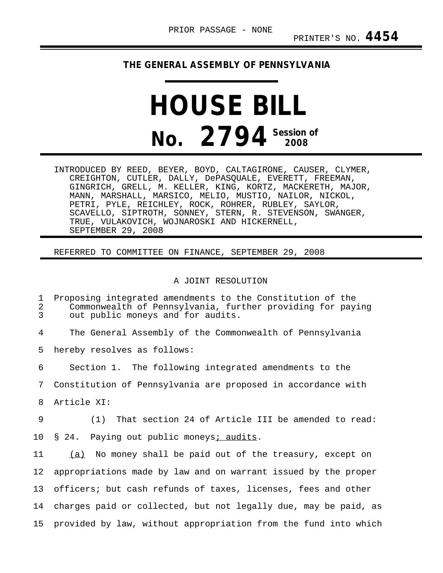## **THE GENERAL ASSEMBLY OF PENNSYLVANIA**

## **HOUSE BILL No.** 2794<sup> Session of</sup>

INTRODUCED BY REED, BEYER, BOYD, CALTAGIRONE, CAUSER, CLYMER, CREIGHTON, CUTLER, DALLY, DePASQUALE, EVERETT, FREEMAN, GINGRICH, GRELL, M. KELLER, KING, KORTZ, MACKERETH, MAJOR, MANN, MARSHALL, MARSICO, MELIO, MUSTIO, NAILOR, NICKOL, PETRI, PYLE, REICHLEY, ROCK, ROHRER, RUBLEY, SAYLOR, SCAVELLO, SIPTROTH, SONNEY, STERN, R. STEVENSON, SWANGER, TRUE, VULAKOVICH, WOJNAROSKI AND HICKERNELL, SEPTEMBER 29, 2008

## REFERRED TO COMMITTEE ON FINANCE, SEPTEMBER 29, 2008

## A JOINT RESOLUTION

1 Proposing integrated amendments to the Constitution of the<br>2 Commonwealth of Pennsylvania, further providing for pay 2 Commonwealth of Pennsylvania, further providing for paying<br>3 out public moneys and for audits. out public moneys and for audits. 4 The General Assembly of the Commonwealth of Pennsylvania 5 hereby resolves as follows: 6 Section 1. The following integrated amendments to the 7 Constitution of Pennsylvania are proposed in accordance with 8 Article XI: 9 (1) That section 24 of Article III be amended to read: 10 § 24. Paying out public moneys; audits. 11 (a) No money shall be paid out of the treasury, except on \_\_\_ 12 appropriations made by law and on warrant issued by the proper 13 officers; but cash refunds of taxes, licenses, fees and other 14 charges paid or collected, but not legally due, may be paid, as 15 provided by law, without appropriation from the fund into which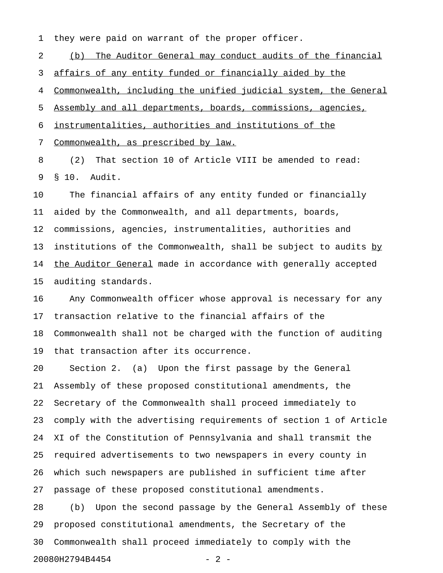1 they were paid on warrant of the proper officer.

2 (b) The Auditor General may conduct audits of the financial 3 affairs of any entity funded or financially aided by the 4 Commonwealth, including the unified judicial system, the General 5 Assembly and all departments, boards, commissions, agencies, 6 instrumentalities, authorities and institutions of the 7 Commonwealth, as prescribed by law.

8 (2) That section 10 of Article VIII be amended to read: 9 § 10. Audit.

10 The financial affairs of any entity funded or financially 11 aided by the Commonwealth, and all departments, boards, 12 commissions, agencies, instrumentalities, authorities and 13 institutions of the Commonwealth, shall be subject to audits by 14 the Auditor General made in accordance with generally accepted 15 auditing standards.

16 Any Commonwealth officer whose approval is necessary for any 17 transaction relative to the financial affairs of the 18 Commonwealth shall not be charged with the function of auditing 19 that transaction after its occurrence.

20 Section 2. (a) Upon the first passage by the General 21 Assembly of these proposed constitutional amendments, the 22 Secretary of the Commonwealth shall proceed immediately to 23 comply with the advertising requirements of section 1 of Article 24 XI of the Constitution of Pennsylvania and shall transmit the 25 required advertisements to two newspapers in every county in 26 which such newspapers are published in sufficient time after 27 passage of these proposed constitutional amendments.

28 (b) Upon the second passage by the General Assembly of these 29 proposed constitutional amendments, the Secretary of the 30 Commonwealth shall proceed immediately to comply with the 20080H2794B4454 - 2 -